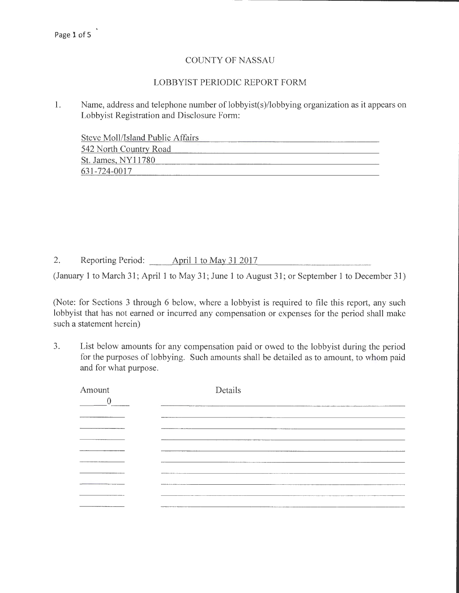## COUNTY OF NASSAU

## LOBBYIST PERIODIC REPORT FORM

1. Name, address and telephone number of lobbyist(s)/lobbying organization as it appears on Lobbyist Registration and Disclosure Form:

| Steve Moll/Island Public Affairs |  |
|----------------------------------|--|
| 542 North Country Road           |  |
| St. James, NY11780               |  |
| 631-724-0017                     |  |

2. Reporting Period: April 1 to May 31 2017

(January 1 to March 31; April 1 to May 31; June 1 to August 31; or September 1 to December 31)

(Note: for Sections 3 through 6 below, where a lobbyist is required to file this report, any such lobbyist that has not earned or incurred any compensation or expenses for the period shall make such a statement herein)

3. List below amounts for any compensation paid or owed to the lobbyist during the period for the purposes of lobbying. Such amounts shall be detailed as to amount, to whom paid and for what purpose.

| Amount<br>U | Details                                                                                                                                                                                                                              |
|-------------|--------------------------------------------------------------------------------------------------------------------------------------------------------------------------------------------------------------------------------------|
|             |                                                                                                                                                                                                                                      |
|             |                                                                                                                                                                                                                                      |
|             |                                                                                                                                                                                                                                      |
|             | <b>Professional Professional Control Control Control Control</b>                                                                                                                                                                     |
|             | <b>PERMIT AT THE STATE OF THE STATE OF THE STATE OF THE STATE OF THE STATE OF THE STATE OF THE STATE OF THE STATE OF THE STATE OF THE STATE OF THE STATE OF THE STATE OF THE STATE OF THE STATE OF THE STATE OF THE STATE OF THE</b> |
|             | What's Philippines is the activities of the Minister Section process in                                                                                                                                                              |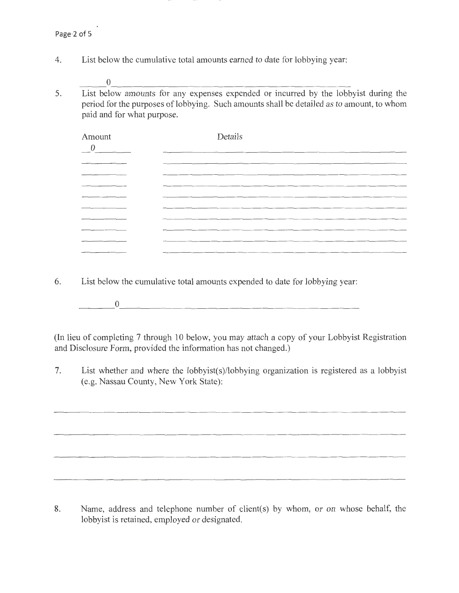4. List below the cumulative total amounts earned to date for lobbying year:

 $_0$ 

5. List below amounts for any expenses expended or incurred by the lobbyist during the period for the purposes of lobbying. Such amounts shall be detailed as to amount, to whom paid and for what purpose.

| Amount<br>$\overline{0}$ | Details                                                                                         |
|--------------------------|-------------------------------------------------------------------------------------------------|
| ______                   | _____<br>____                                                                                   |
| _____                    | the contract of the contract of the contract of the contract of the contract of the contract of |
|                          | ____<br>----                                                                                    |
| _______                  | the contract of the contract of the<br>$\overline{\phantom{a}}$                                 |
| _____                    | ____<br>----<br>---                                                                             |
|                          |                                                                                                 |
|                          |                                                                                                 |

6. List below the cumulative total amounts expended to date for lobbying year:

 $\overline{0}$ 

(In lieu of completing 7 through 10 below, you may attach a copy of your Lobbyist Registration and Disclosure Form, provided the information has not changed.)

7. List whether and where the lobbyist(s)/lobbying organization is registered as a lobbyist (e.g. Nassau County, New York State):

8. Name, address and telephone number of client(s) by whom, or on whose behalf, the lobbyist is retained, employed or designated.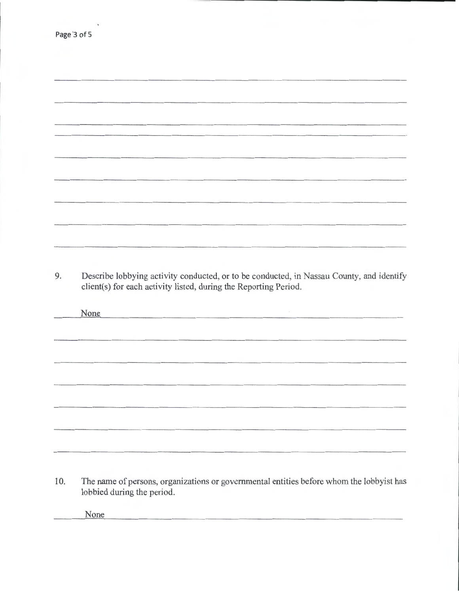9. Describe lobbying activity conducted, or to be conducted, in Nassau County, and identify client(s) for each activity listed, during the Reporting Period.

| None | <u> 1980 - Jan Barnett, mars et al. 1980 - Anna ann an Carl an Carl ann an t-Alban ann an t-Alban ann an t-Alban a</u> |  |  |
|------|------------------------------------------------------------------------------------------------------------------------|--|--|
|      |                                                                                                                        |  |  |
|      |                                                                                                                        |  |  |
|      |                                                                                                                        |  |  |
|      |                                                                                                                        |  |  |
|      |                                                                                                                        |  |  |
|      |                                                                                                                        |  |  |
|      |                                                                                                                        |  |  |
|      |                                                                                                                        |  |  |
|      |                                                                                                                        |  |  |
|      |                                                                                                                        |  |  |
|      |                                                                                                                        |  |  |
|      |                                                                                                                        |  |  |
|      |                                                                                                                        |  |  |

10. The name of persons, organizations or governmental entities before whom the lobbyist has lobbied during the period.

None